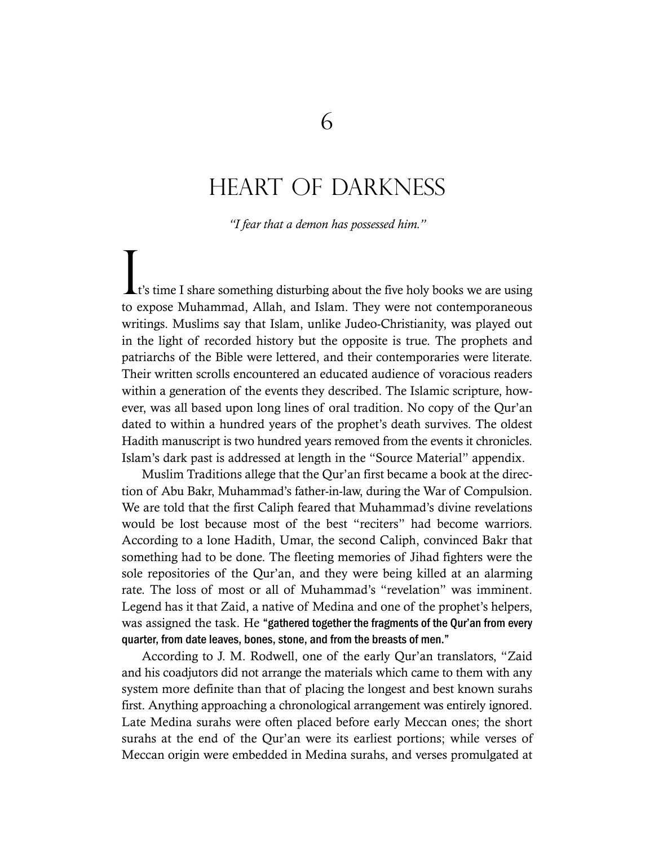## HEART OF DARKNESS

*"I fear that a demon has possessed him."*

 $\blacktriangle$ t's time I share something disturbing about the five holy books we are using to expose Muhammad, Allah, and Islam. They were not contemporaneous writings. Muslims say that Islam, unlike Judeo-Christianity, was played out in the light of recorded history but the opposite is true. The prophets and patriarchs of the Bible were lettered, and their contemporaries were literate. Their written scrolls encountered an educated audience of voracious readers within a generation of the events they described. The Islamic scripture, however, was all based upon long lines of oral tradition. No copy of the Qur'an dated to within a hundred years of the prophet's death survives. The oldest Hadith manuscript is two hundred years removed from the events it chronicles. Islam's dark past is addressed at length in the "Source Material" appendix.

Muslim Traditions allege that the Qur'an first became a book at the direction of Abu Bakr, Muhammad's father-in-law, during the War of Compulsion. We are told that the first Caliph feared that Muhammad's divine revelations would be lost because most of the best "reciters" had become warriors. According to a lone Hadith, Umar, the second Caliph, convinced Bakr that something had to be done. The fleeting memories of Jihad fighters were the sole repositories of the Qur'an, and they were being killed at an alarming rate. The loss of most or all of Muhammad's "revelation" was imminent. Legend has it that Zaid, a native of Medina and one of the prophet's helpers, was assigned the task. He "gathered together the fragments of the Qur'an from every quarter, from date leaves, bones, stone, and from the breasts of men."

According to J. M. Rodwell, one of the early Qur'an translators, "Zaid and his coadjutors did not arrange the materials which came to them with any system more definite than that of placing the longest and best known surahs first. Anything approaching a chronological arrangement was entirely ignored. Late Medina surahs were often placed before early Meccan ones; the short surahs at the end of the Qur'an were its earliest portions; while verses of Meccan origin were embedded in Medina surahs, and verses promulgated at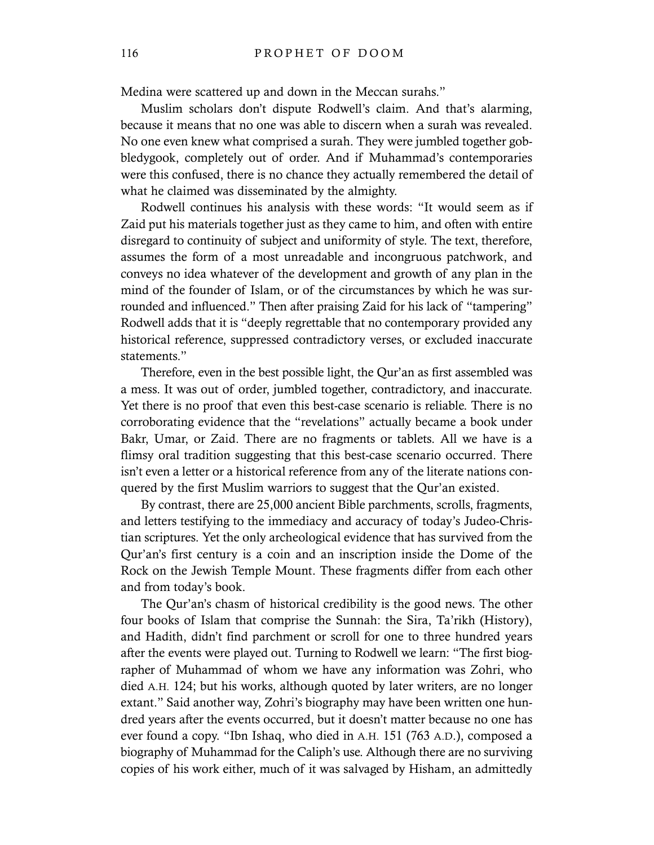Medina were scattered up and down in the Meccan surahs."

Muslim scholars don't dispute Rodwell's claim. And that's alarming, because it means that no one was able to discern when a surah was revealed. No one even knew what comprised a surah. They were jumbled together gobbledygook, completely out of order. And if Muhammad's contemporaries were this confused, there is no chance they actually remembered the detail of what he claimed was disseminated by the almighty.

Rodwell continues his analysis with these words: "It would seem as if Zaid put his materials together just as they came to him, and often with entire disregard to continuity of subject and uniformity of style. The text, therefore, assumes the form of a most unreadable and incongruous patchwork, and conveys no idea whatever of the development and growth of any plan in the mind of the founder of Islam, or of the circumstances by which he was surrounded and influenced." Then after praising Zaid for his lack of "tampering" Rodwell adds that it is "deeply regrettable that no contemporary provided any historical reference, suppressed contradictory verses, or excluded inaccurate statements."

Therefore, even in the best possible light, the Qur'an as first assembled was a mess. It was out of order, jumbled together, contradictory, and inaccurate. Yet there is no proof that even this best-case scenario is reliable. There is no corroborating evidence that the "revelations" actually became a book under Bakr, Umar, or Zaid. There are no fragments or tablets. All we have is a flimsy oral tradition suggesting that this best-case scenario occurred. There isn't even a letter or a historical reference from any of the literate nations conquered by the first Muslim warriors to suggest that the Qur'an existed.

By contrast, there are 25,000 ancient Bible parchments, scrolls, fragments, and letters testifying to the immediacy and accuracy of today's Judeo-Christian scriptures. Yet the only archeological evidence that has survived from the Qur'an's first century is a coin and an inscription inside the Dome of the Rock on the Jewish Temple Mount. These fragments differ from each other and from today's book.

The Qur'an's chasm of historical credibility is the good news. The other four books of Islam that comprise the Sunnah: the Sira, Ta'rikh (History), and Hadith, didn't find parchment or scroll for one to three hundred years after the events were played out. Turning to Rodwell we learn: "The first biographer of Muhammad of whom we have any information was Zohri, who died A.H. 124; but his works, although quoted by later writers, are no longer extant." Said another way, Zohri's biography may have been written one hundred years after the events occurred, but it doesn't matter because no one has ever found a copy. "Ibn Ishaq, who died in A.H. 151 (763 A.D.), composed a biography of Muhammad for the Caliph's use. Although there are no surviving copies of his work either, much of it was salvaged by Hisham, an admittedly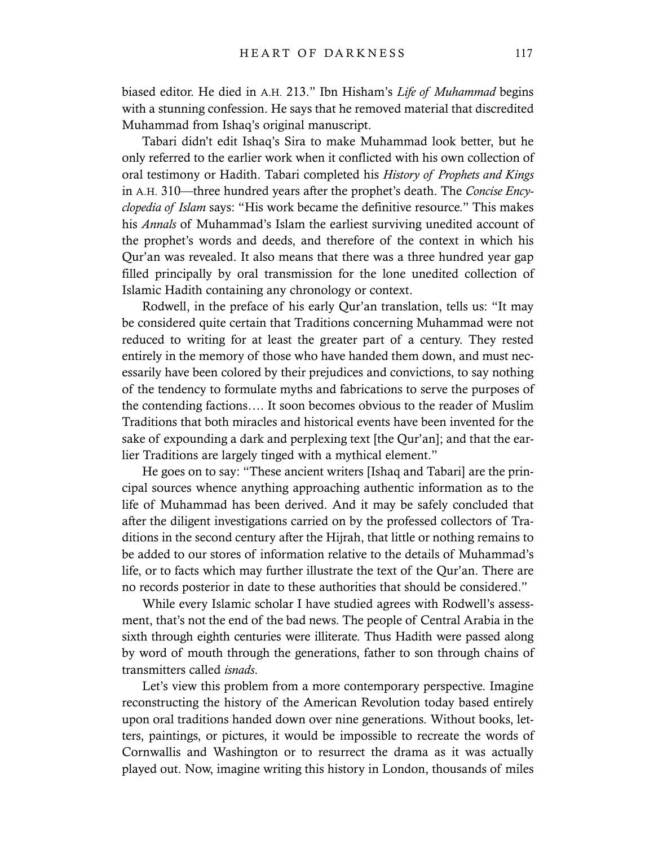biased editor. He died in A.H. 213." Ibn Hisham's *Life of Muhammad* begins with a stunning confession. He says that he removed material that discredited Muhammad from Ishaq's original manuscript.

Tabari didn't edit Ishaq's Sira to make Muhammad look better, but he only referred to the earlier work when it conflicted with his own collection of oral testimony or Hadith. Tabari completed his *History of Prophets and Kings* in A.H. 310—three hundred years after the prophet's death. The *Concise Encyclopedia of Islam* says: "His work became the definitive resource." This makes his *Annals* of Muhammad's Islam the earliest surviving unedited account of the prophet's words and deeds, and therefore of the context in which his Qur'an was revealed. It also means that there was a three hundred year gap filled principally by oral transmission for the lone unedited collection of Islamic Hadith containing any chronology or context.

Rodwell, in the preface of his early Qur'an translation, tells us: "It may be considered quite certain that Traditions concerning Muhammad were not reduced to writing for at least the greater part of a century. They rested entirely in the memory of those who have handed them down, and must necessarily have been colored by their prejudices and convictions, to say nothing of the tendency to formulate myths and fabrications to serve the purposes of the contending factions…. It soon becomes obvious to the reader of Muslim Traditions that both miracles and historical events have been invented for the sake of expounding a dark and perplexing text [the Qur'an]; and that the earlier Traditions are largely tinged with a mythical element."

He goes on to say: "These ancient writers [Ishaq and Tabari] are the principal sources whence anything approaching authentic information as to the life of Muhammad has been derived. And it may be safely concluded that after the diligent investigations carried on by the professed collectors of Traditions in the second century after the Hijrah, that little or nothing remains to be added to our stores of information relative to the details of Muhammad's life, or to facts which may further illustrate the text of the Qur'an. There are no records posterior in date to these authorities that should be considered."

While every Islamic scholar I have studied agrees with Rodwell's assessment, that's not the end of the bad news. The people of Central Arabia in the sixth through eighth centuries were illiterate. Thus Hadith were passed along by word of mouth through the generations, father to son through chains of transmitters called *isnads*.

Let's view this problem from a more contemporary perspective. Imagine reconstructing the history of the American Revolution today based entirely upon oral traditions handed down over nine generations. Without books, letters, paintings, or pictures, it would be impossible to recreate the words of Cornwallis and Washington or to resurrect the drama as it was actually played out. Now, imagine writing this history in London, thousands of miles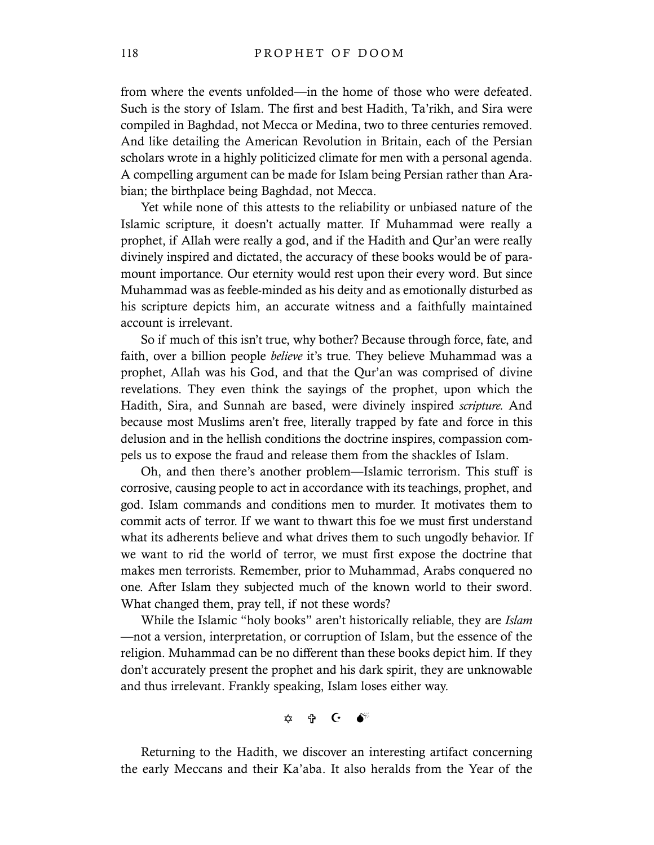from where the events unfolded—in the home of those who were defeated. Such is the story of Islam. The first and best Hadith, Ta'rikh, and Sira were compiled in Baghdad, not Mecca or Medina, two to three centuries removed. And like detailing the American Revolution in Britain, each of the Persian scholars wrote in a highly politicized climate for men with a personal agenda. A compelling argument can be made for Islam being Persian rather than Arabian; the birthplace being Baghdad, not Mecca.

Yet while none of this attests to the reliability or unbiased nature of the Islamic scripture, it doesn't actually matter. If Muhammad were really a prophet, if Allah were really a god, and if the Hadith and Qur'an were really divinely inspired and dictated, the accuracy of these books would be of paramount importance. Our eternity would rest upon their every word. But since Muhammad was as feeble-minded as his deity and as emotionally disturbed as his scripture depicts him, an accurate witness and a faithfully maintained account is irrelevant.

So if much of this isn't true, why bother? Because through force, fate, and faith, over a billion people *believe* it's true. They believe Muhammad was a prophet, Allah was his God, and that the Qur'an was comprised of divine revelations. They even think the sayings of the prophet, upon which the Hadith, Sira, and Sunnah are based, were divinely inspired *scripture.* And because most Muslims aren't free, literally trapped by fate and force in this delusion and in the hellish conditions the doctrine inspires, compassion compels us to expose the fraud and release them from the shackles of Islam.

Oh, and then there's another problem—Islamic terrorism. This stuff is corrosive, causing people to act in accordance with its teachings, prophet, and god. Islam commands and conditions men to murder. It motivates them to commit acts of terror. If we want to thwart this foe we must first understand what its adherents believe and what drives them to such ungodly behavior. If we want to rid the world of terror, we must first expose the doctrine that makes men terrorists. Remember, prior to Muhammad, Arabs conquered no one. After Islam they subjected much of the known world to their sword. What changed them, pray tell, if not these words?

While the Islamic "holy books" aren't historically reliable, they are *Islam* —not a version, interpretation, or corruption of Islam, but the essence of the religion. Muhammad can be no different than these books depict him. If they don't accurately present the prophet and his dark spirit, they are unknowable and thus irrelevant. Frankly speaking, Islam loses either way.

**☆ 中 C 6<sup>※</sup>** 

Returning to the Hadith, we discover an interesting artifact concerning the early Meccans and their Ka'aba. It also heralds from the Year of the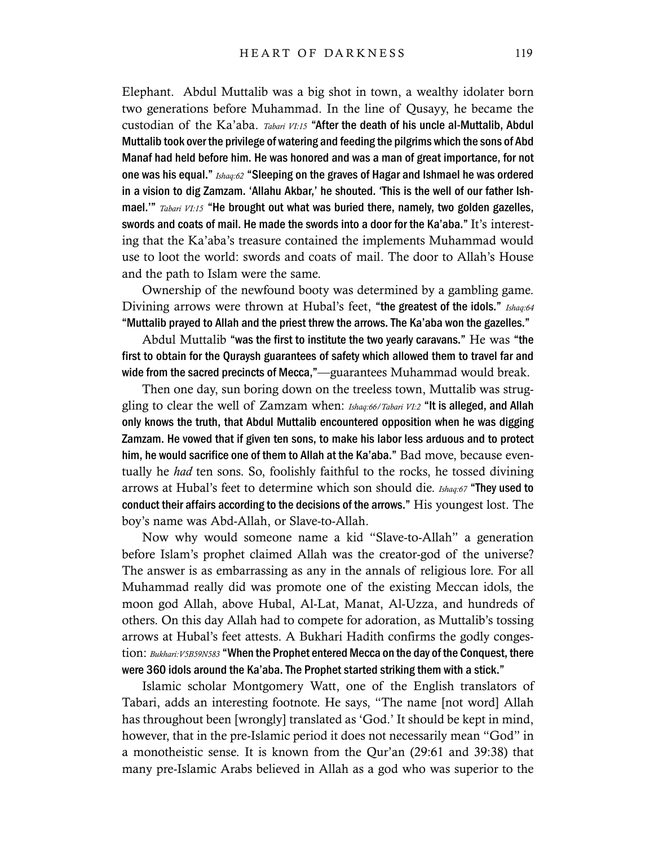Elephant. Abdul Muttalib was a big shot in town, a wealthy idolater born two generations before Muhammad. In the line of Qusayy, he became the custodian of the Ka'aba. *Tabari VI:15* "After the death of his uncle al-Muttalib, Abdul Muttalib took over the privilege of watering and feeding the pilgrims which the sons of Abd Manaf had held before him. He was honored and was a man of great importance, for not one was his equal." *Ishaq:62* "Sleeping on the graves of Hagar and Ishmael he was ordered in a vision to dig Zamzam. 'Allahu Akbar,' he shouted. 'This is the well of our father Ishmael.'" *Tabari VI:15* "He brought out what was buried there, namely, two golden gazelles, swords and coats of mail. He made the swords into a door for the Ka'aba." It's interesting that the Ka'aba's treasure contained the implements Muhammad would use to loot the world: swords and coats of mail. The door to Allah's House and the path to Islam were the same.

Ownership of the newfound booty was determined by a gambling game. Divining arrows were thrown at Hubal's feet, "the greatest of the idols." *Ishaq:64* "Muttalib prayed to Allah and the priest threw the arrows. The Ka'aba won the gazelles."

Abdul Muttalib "was the first to institute the two yearly caravans." He was "the first to obtain for the Quraysh guarantees of safety which allowed them to travel far and wide from the sacred precincts of Mecca,"—guarantees Muhammad would break.

Then one day, sun boring down on the treeless town, Muttalib was struggling to clear the well of Zamzam when: *Ishaq:66/Tabari VI:2* "It is alleged, and Allah only knows the truth, that Abdul Muttalib encountered opposition when he was digging Zamzam. He vowed that if given ten sons, to make his labor less arduous and to protect him, he would sacrifice one of them to Allah at the Ka'aba." Bad move, because eventually he *had* ten sons. So, foolishly faithful to the rocks, he tossed divining arrows at Hubal's feet to determine which son should die. *Ishaq:67* "They used to conduct their affairs according to the decisions of the arrows." His youngest lost. The boy's name was Abd-Allah, or Slave-to-Allah.

Now why would someone name a kid "Slave-to-Allah" a generation before Islam's prophet claimed Allah was the creator-god of the universe? The answer is as embarrassing as any in the annals of religious lore. For all Muhammad really did was promote one of the existing Meccan idols, the moon god Allah, above Hubal, Al-Lat, Manat, Al-Uzza, and hundreds of others. On this day Allah had to compete for adoration, as Muttalib's tossing arrows at Hubal's feet attests. A Bukhari Hadith confirms the godly congestion: *Bukhari:V5B59N583* "When the Prophet entered Mecca on the day of the Conquest, there were 360 idols around the Ka'aba. The Prophet started striking them with a stick."

Islamic scholar Montgomery Watt, one of the English translators of Tabari, adds an interesting footnote. He says, "The name [not word] Allah has throughout been [wrongly] translated as 'God.' It should be kept in mind, however, that in the pre-Islamic period it does not necessarily mean "God" in a monotheistic sense. It is known from the Qur'an (29:61 and 39:38) that many pre-Islamic Arabs believed in Allah as a god who was superior to the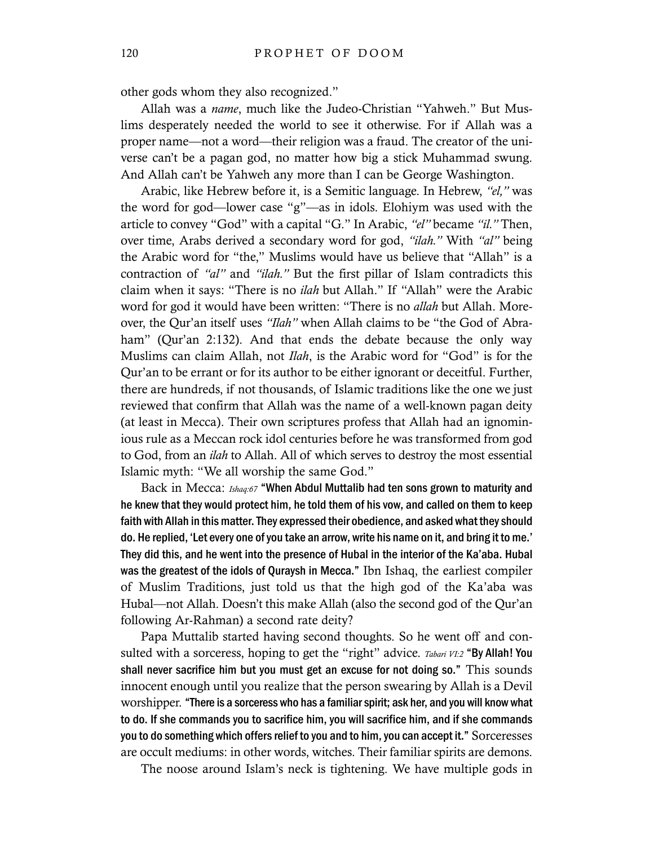other gods whom they also recognized."

Allah was a *name*, much like the Judeo-Christian "Yahweh." But Muslims desperately needed the world to see it otherwise. For if Allah was a proper name—not a word—their religion was a fraud. The creator of the universe can't be a pagan god, no matter how big a stick Muhammad swung. And Allah can't be Yahweh any more than I can be George Washington.

Arabic, like Hebrew before it, is a Semitic language. In Hebrew, *"el,"* was the word for god—lower case "g"—as in idols. Elohiym was used with the article to convey "God" with a capital "G." In Arabic, *"el"* became *"il."* Then, over time, Arabs derived a secondary word for god, *"ilah."* With *"al"* being the Arabic word for "the," Muslims would have us believe that "Allah" is a contraction of *"al"* and *"ilah."* But the first pillar of Islam contradicts this claim when it says: "There is no *ilah* but Allah." If "Allah" were the Arabic word for god it would have been written: "There is no *allah* but Allah. Moreover, the Qur'an itself uses *"Ilah"* when Allah claims to be "the God of Abraham" (Qur'an 2:132). And that ends the debate because the only way Muslims can claim Allah, not *Ilah*, is the Arabic word for "God" is for the Qur'an to be errant or for its author to be either ignorant or deceitful. Further, there are hundreds, if not thousands, of Islamic traditions like the one we just reviewed that confirm that Allah was the name of a well-known pagan deity (at least in Mecca). Their own scriptures profess that Allah had an ignominious rule as a Meccan rock idol centuries before he was transformed from god to God, from an *ilah* to Allah. All of which serves to destroy the most essential Islamic myth: "We all worship the same God."

Back in Mecca: *Ishaq:67* "When Abdul Muttalib had ten sons grown to maturity and he knew that they would protect him, he told them of his vow, and called on them to keep faith with Allah in this matter. They expressed their obedience, and asked what they should do. He replied, 'Let every one of you take an arrow, write his name on it, and bring it to me.' They did this, and he went into the presence of Hubal in the interior of the Ka'aba. Hubal was the greatest of the idols of Quraysh in Mecca." Ibn Ishaq, the earliest compiler of Muslim Traditions, just told us that the high god of the Ka'aba was Hubal—not Allah. Doesn't this make Allah (also the second god of the Qur'an following Ar-Rahman) a second rate deity?

Papa Muttalib started having second thoughts. So he went off and consulted with a sorceress, hoping to get the "right" advice. *Tabari VI:2* "By Allah! You shall never sacrifice him but you must get an excuse for not doing so." This sounds innocent enough until you realize that the person swearing by Allah is a Devil worshipper. "There is a sorceress who has a familiar spirit; ask her, and you will know what to do. If she commands you to sacrifice him, you will sacrifice him, and if she commands you to do something which offers relief to you and to him, you can accept it." Sorceresses are occult mediums: in other words, witches. Their familiar spirits are demons.

The noose around Islam's neck is tightening. We have multiple gods in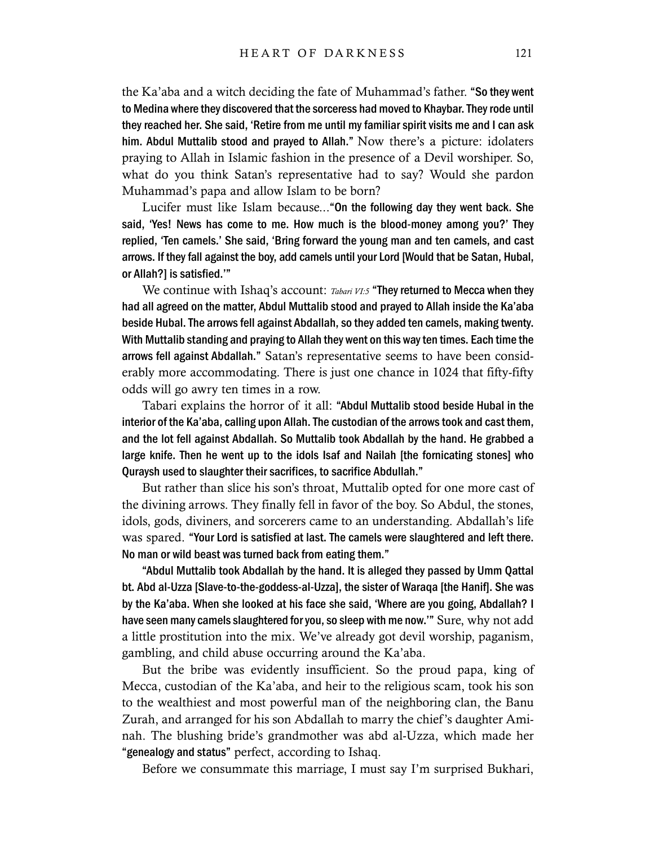the Ka'aba and a witch deciding the fate of Muhammad's father. "So they went to Medina where they discovered that the sorceress had moved to Khaybar. They rode until they reached her. She said, 'Retire from me until my familiar spirit visits me and I can ask him. Abdul Muttalib stood and prayed to Allah." Now there's a picture: idolaters praying to Allah in Islamic fashion in the presence of a Devil worshiper. So, what do you think Satan's representative had to say? Would she pardon Muhammad's papa and allow Islam to be born?

Lucifer must like Islam because..."On the following day they went back. She said, 'Yes! News has come to me. How much is the blood-money among you?' They replied, 'Ten camels.' She said, 'Bring forward the young man and ten camels, and cast arrows. If they fall against the boy, add camels until your Lord [Would that be Satan, Hubal, or Allah?] is satisfied.'"

We continue with Ishaq's account: *Tabari VI:5* "They returned to Mecca when they had all agreed on the matter, Abdul Muttalib stood and prayed to Allah inside the Ka'aba beside Hubal. The arrows fell against Abdallah, so they added ten camels, making twenty. With Muttalib standing and praying to Allah they went on this way ten times. Each time the arrows fell against Abdallah." Satan's representative seems to have been considerably more accommodating. There is just one chance in 1024 that fifty-fifty odds will go awry ten times in a row.

Tabari explains the horror of it all: "Abdul Muttalib stood beside Hubal in the interior of the Ka'aba, calling upon Allah. The custodian of the arrows took and cast them, and the lot fell against Abdallah. So Muttalib took Abdallah by the hand. He grabbed a large knife. Then he went up to the idols Isaf and Nailah [the fornicating stones] who Quraysh used to slaughter their sacrifices, to sacrifice Abdullah."

But rather than slice his son's throat, Muttalib opted for one more cast of the divining arrows. They finally fell in favor of the boy. So Abdul, the stones, idols, gods, diviners, and sorcerers came to an understanding. Abdallah's life was spared. "Your Lord is satisfied at last. The camels were slaughtered and left there. No man or wild beast was turned back from eating them."

"Abdul Muttalib took Abdallah by the hand. It is alleged they passed by Umm Qattal bt. Abd al-Uzza [Slave-to-the-goddess-al-Uzza], the sister of Waraqa [the Hanif]. She was by the Ka'aba. When she looked at his face she said, 'Where are you going, Abdallah? I have seen many camels slaughtered for you, so sleep with me now.'" Sure, why not add a little prostitution into the mix. We've already got devil worship, paganism, gambling, and child abuse occurring around the Ka'aba.

But the bribe was evidently insufficient. So the proud papa, king of Mecca, custodian of the Ka'aba, and heir to the religious scam, took his son to the wealthiest and most powerful man of the neighboring clan, the Banu Zurah, and arranged for his son Abdallah to marry the chief's daughter Aminah. The blushing bride's grandmother was abd al-Uzza, which made her "genealogy and status" perfect, according to Ishaq.

Before we consummate this marriage, I must say I'm surprised Bukhari,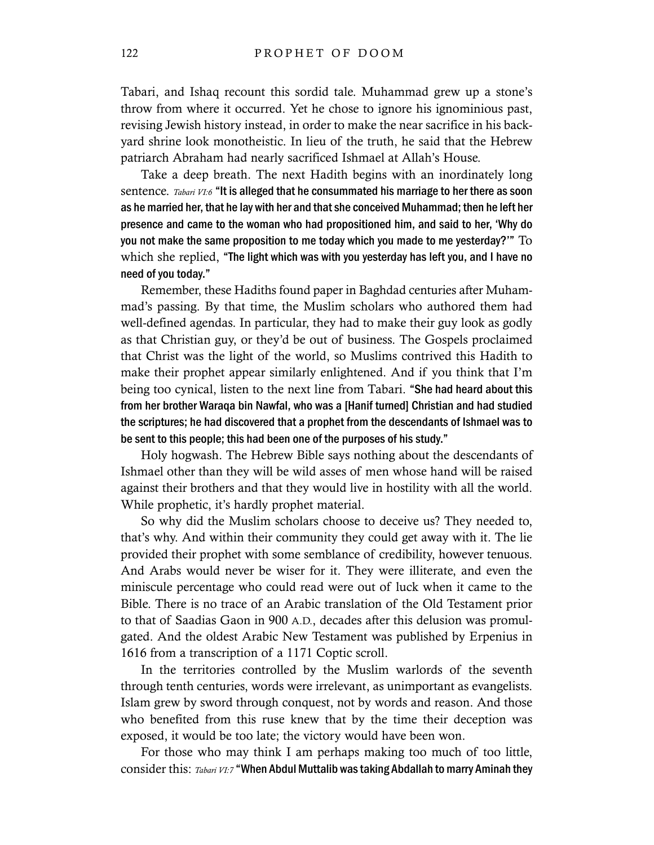Tabari, and Ishaq recount this sordid tale. Muhammad grew up a stone's throw from where it occurred. Yet he chose to ignore his ignominious past, revising Jewish history instead, in order to make the near sacrifice in his backyard shrine look monotheistic. In lieu of the truth, he said that the Hebrew patriarch Abraham had nearly sacrificed Ishmael at Allah's House.

Take a deep breath. The next Hadith begins with an inordinately long sentence. *Tabari VI:6* "It is alleged that he consummated his marriage to her there as soon as he married her, that he lay with her and that she conceived Muhammad; then he left her presence and came to the woman who had propositioned him, and said to her, 'Why do you not make the same proposition to me today which you made to me yesterday?'" To which she replied, "The light which was with you yesterday has left you, and I have no need of you today."

Remember, these Hadiths found paper in Baghdad centuries after Muhammad's passing. By that time, the Muslim scholars who authored them had well-defined agendas. In particular, they had to make their guy look as godly as that Christian guy, or they'd be out of business. The Gospels proclaimed that Christ was the light of the world, so Muslims contrived this Hadith to make their prophet appear similarly enlightened. And if you think that I'm being too cynical, listen to the next line from Tabari. "She had heard about this from her brother Waraqa bin Nawfal, who was a [Hanif turned] Christian and had studied the scriptures; he had discovered that a prophet from the descendants of Ishmael was to be sent to this people; this had been one of the purposes of his study."

Holy hogwash. The Hebrew Bible says nothing about the descendants of Ishmael other than they will be wild asses of men whose hand will be raised against their brothers and that they would live in hostility with all the world. While prophetic, it's hardly prophet material.

So why did the Muslim scholars choose to deceive us? They needed to, that's why. And within their community they could get away with it. The lie provided their prophet with some semblance of credibility, however tenuous. And Arabs would never be wiser for it. They were illiterate, and even the miniscule percentage who could read were out of luck when it came to the Bible. There is no trace of an Arabic translation of the Old Testament prior to that of Saadias Gaon in 900 A.D., decades after this delusion was promulgated. And the oldest Arabic New Testament was published by Erpenius in 1616 from a transcription of a 1171 Coptic scroll.

In the territories controlled by the Muslim warlords of the seventh through tenth centuries, words were irrelevant, as unimportant as evangelists. Islam grew by sword through conquest, not by words and reason. And those who benefited from this ruse knew that by the time their deception was exposed, it would be too late; the victory would have been won.

For those who may think I am perhaps making too much of too little, consider this: *Tabari VI:7* "When Abdul Muttalib was taking Abdallah to marry Aminah they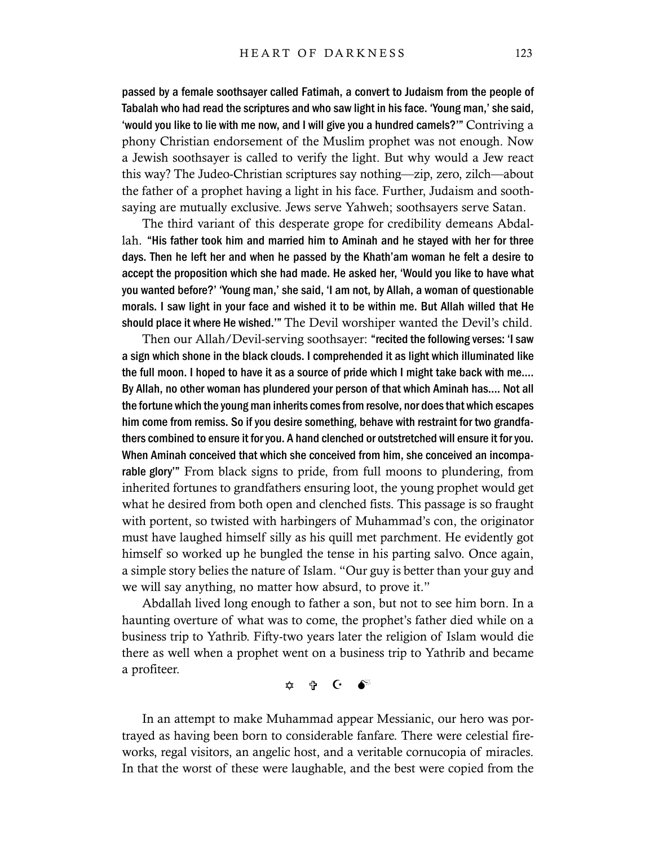passed by a female soothsayer called Fatimah, a convert to Judaism from the people of Tabalah who had read the scriptures and who saw light in his face. 'Young man,' she said, 'would you like to lie with me now, and I will give you a hundred camels?'" Contriving a phony Christian endorsement of the Muslim prophet was not enough. Now a Jewish soothsayer is called to verify the light. But why would a Jew react this way? The Judeo-Christian scriptures say nothing—zip, zero, zilch—about the father of a prophet having a light in his face. Further, Judaism and soothsaying are mutually exclusive. Jews serve Yahweh; soothsayers serve Satan.

The third variant of this desperate grope for credibility demeans Abdallah. "His father took him and married him to Aminah and he stayed with her for three days. Then he left her and when he passed by the Khath'am woman he felt a desire to accept the proposition which she had made. He asked her, 'Would you like to have what you wanted before?' 'Young man,' she said, 'I am not, by Allah, a woman of questionable morals. I saw light in your face and wished it to be within me. But Allah willed that He should place it where He wished.'" The Devil worshiper wanted the Devil's child.

Then our Allah/Devil-serving soothsayer: "recited the following verses: 'I saw a sign which shone in the black clouds. I comprehended it as light which illuminated like the full moon. I hoped to have it as a source of pride which I might take back with me…. By Allah, no other woman has plundered your person of that which Aminah has…. Not all the fortune which the young man inherits comes from resolve, nor does that which escapes him come from remiss. So if you desire something, behave with restraint for two grandfathers combined to ensure it for you. A hand clenched or outstretched will ensure it for you. When Aminah conceived that which she conceived from him, she conceived an incomparable glory'" From black signs to pride, from full moons to plundering, from inherited fortunes to grandfathers ensuring loot, the young prophet would get what he desired from both open and clenched fists. This passage is so fraught with portent, so twisted with harbingers of Muhammad's con, the originator must have laughed himself silly as his quill met parchment. He evidently got himself so worked up he bungled the tense in his parting salvo. Once again, a simple story belies the nature of Islam. "Our guy is better than your guy and we will say anything, no matter how absurd, to prove it."

Abdallah lived long enough to father a son, but not to see him born. In a haunting overture of what was to come, the prophet's father died while on a business trip to Yathrib. Fifty-two years later the religion of Islam would die there as well when a prophet went on a business trip to Yathrib and became a profiteer.

 $\uplus$   $\uplus$   $\uplus$   $\uplus$   $\uplus$ 

In an attempt to make Muhammad appear Messianic, our hero was portrayed as having been born to considerable fanfare. There were celestial fireworks, regal visitors, an angelic host, and a veritable cornucopia of miracles. In that the worst of these were laughable, and the best were copied from the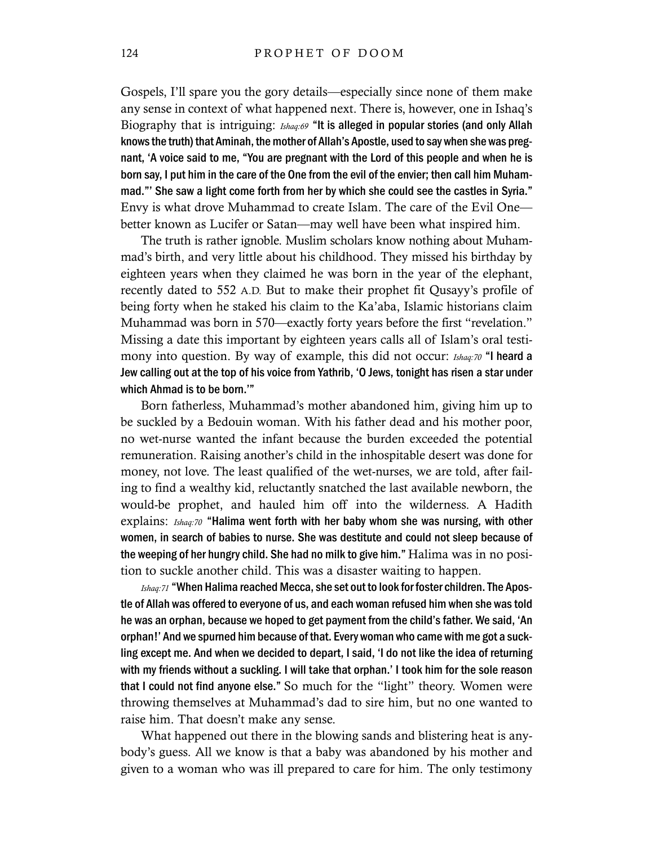Gospels, I'll spare you the gory details—especially since none of them make any sense in context of what happened next. There is, however, one in Ishaq's Biography that is intriguing: *Ishaq:69* "It is alleged in popular stories (and only Allah knows the truth) that Aminah, the mother of Allah's Apostle, used to say when she was pregnant, 'A voice said to me, "You are pregnant with the Lord of this people and when he is born say, I put him in the care of the One from the evil of the envier; then call him Muhammad."' She saw a light come forth from her by which she could see the castles in Syria." Envy is what drove Muhammad to create Islam. The care of the Evil One better known as Lucifer or Satan—may well have been what inspired him.

The truth is rather ignoble. Muslim scholars know nothing about Muhammad's birth, and very little about his childhood. They missed his birthday by eighteen years when they claimed he was born in the year of the elephant, recently dated to 552 A.D. But to make their prophet fit Qusayy's profile of being forty when he staked his claim to the Ka'aba, Islamic historians claim Muhammad was born in 570—exactly forty years before the first "revelation." Missing a date this important by eighteen years calls all of Islam's oral testimony into question. By way of example, this did not occur: *Ishaq:70* "I heard a Jew calling out at the top of his voice from Yathrib, 'O Jews, tonight has risen a star under which Ahmad is to be born.'"

Born fatherless, Muhammad's mother abandoned him, giving him up to be suckled by a Bedouin woman. With his father dead and his mother poor, no wet-nurse wanted the infant because the burden exceeded the potential remuneration. Raising another's child in the inhospitable desert was done for money, not love. The least qualified of the wet-nurses, we are told, after failing to find a wealthy kid, reluctantly snatched the last available newborn, the would-be prophet, and hauled him off into the wilderness. A Hadith explains: *Ishaq:70* "Halima went forth with her baby whom she was nursing, with other women, in search of babies to nurse. She was destitute and could not sleep because of the weeping of her hungry child. She had no milk to give him." Halima was in no position to suckle another child. This was a disaster waiting to happen.

*Ishaq:71* "When Halima reached Mecca, she set out to look for foster children. The Apostle of Allah was offered to everyone of us, and each woman refused him when she was told he was an orphan, because we hoped to get payment from the child's father. We said, 'An orphan!' And we spurned him because of that. Every woman who came with me got a suckling except me. And when we decided to depart, I said, 'I do not like the idea of returning with my friends without a suckling. I will take that orphan.' I took him for the sole reason that I could not find anyone else." So much for the "light" theory. Women were throwing themselves at Muhammad's dad to sire him, but no one wanted to raise him. That doesn't make any sense.

What happened out there in the blowing sands and blistering heat is anybody's guess. All we know is that a baby was abandoned by his mother and given to a woman who was ill prepared to care for him. The only testimony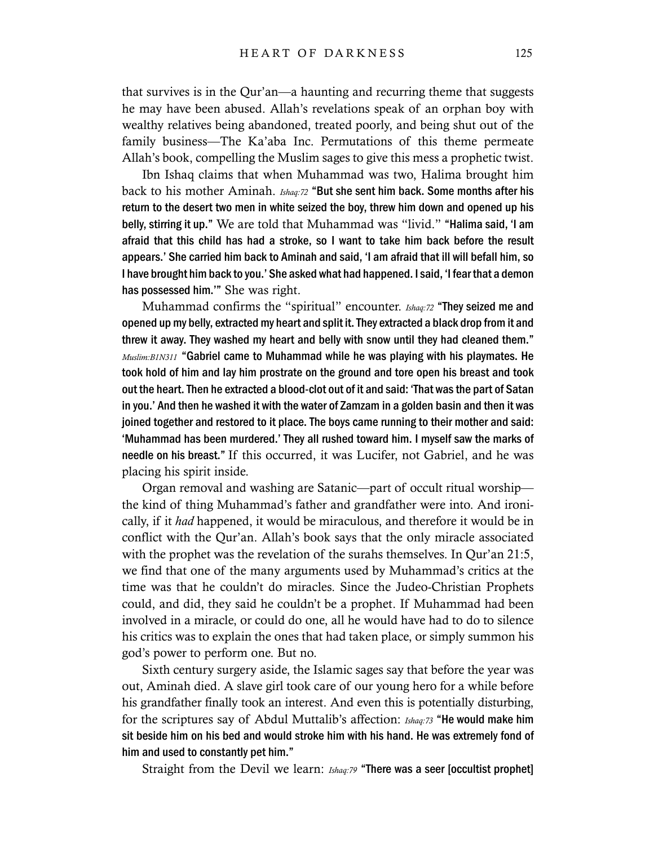that survives is in the Qur'an—a haunting and recurring theme that suggests he may have been abused. Allah's revelations speak of an orphan boy with wealthy relatives being abandoned, treated poorly, and being shut out of the family business—The Ka'aba Inc. Permutations of this theme permeate Allah's book, compelling the Muslim sages to give this mess a prophetic twist.

Ibn Ishaq claims that when Muhammad was two, Halima brought him back to his mother Aminah. *Ishaq:72* "But she sent him back. Some months after his return to the desert two men in white seized the boy, threw him down and opened up his belly, stirring it up." We are told that Muhammad was "livid." "Halima said, 'I am afraid that this child has had a stroke, so I want to take him back before the result appears.' She carried him back to Aminah and said, 'I am afraid that ill will befall him, so I have brought him back to you.' She asked what had happened. I said, 'I fear that a demon has possessed him.'" She was right.

Muhammad confirms the "spiritual" encounter. *Ishaq:72* "They seized me and opened up my belly, extracted my heart and split it. They extracted a black drop from it and threw it away. They washed my heart and belly with snow until they had cleaned them." *Muslim:B1N311* "Gabriel came to Muhammad while he was playing with his playmates. He took hold of him and lay him prostrate on the ground and tore open his breast and took out the heart. Then he extracted a blood-clot out of it and said: 'That was the part of Satan in you.' And then he washed it with the water of Zamzam in a golden basin and then it was joined together and restored to it place. The boys came running to their mother and said: 'Muhammad has been murdered.' They all rushed toward him. I myself saw the marks of needle on his breast." If this occurred, it was Lucifer, not Gabriel, and he was placing his spirit inside.

Organ removal and washing are Satanic—part of occult ritual worship the kind of thing Muhammad's father and grandfather were into. And ironically, if it *had* happened, it would be miraculous, and therefore it would be in conflict with the Qur'an. Allah's book says that the only miracle associated with the prophet was the revelation of the surahs themselves. In Qur'an 21:5, we find that one of the many arguments used by Muhammad's critics at the time was that he couldn't do miracles. Since the Judeo-Christian Prophets could, and did, they said he couldn't be a prophet. If Muhammad had been involved in a miracle, or could do one, all he would have had to do to silence his critics was to explain the ones that had taken place, or simply summon his god's power to perform one. But no.

Sixth century surgery aside, the Islamic sages say that before the year was out, Aminah died. A slave girl took care of our young hero for a while before his grandfather finally took an interest. And even this is potentially disturbing, for the scriptures say of Abdul Muttalib's affection: *Ishaq:73* "He would make him sit beside him on his bed and would stroke him with his hand. He was extremely fond of him and used to constantly pet him."

Straight from the Devil we learn: *Ishaq:79* "There was a seer **[occultist prophet]**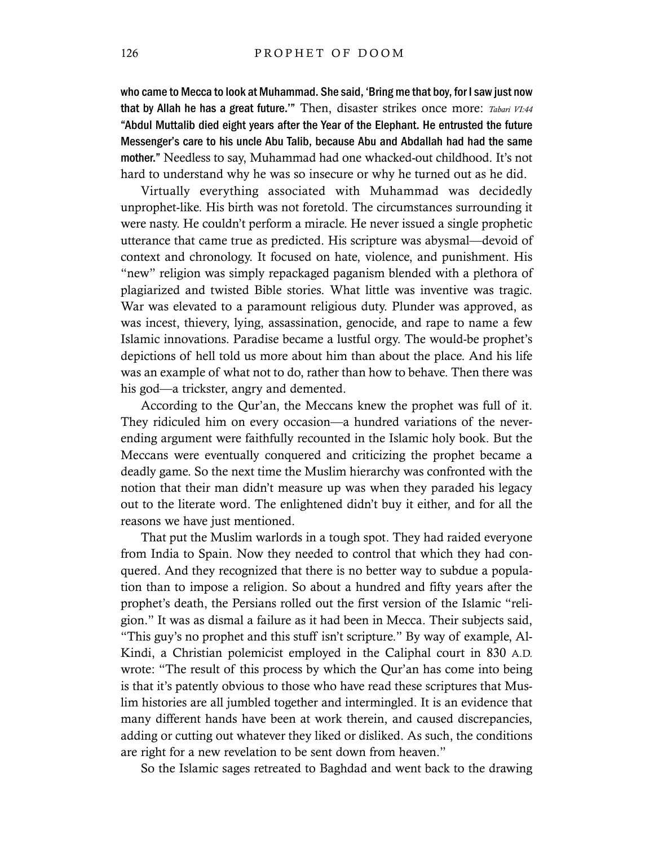who came to Mecca to look at Muhammad. She said, 'Bring me that boy, for I saw just now that by Allah he has a great future.'" Then, disaster strikes once more: *Tabari VI:44* "Abdul Muttalib died eight years after the Year of the Elephant. He entrusted the future Messenger's care to his uncle Abu Talib, because Abu and Abdallah had had the same mother." Needless to say, Muhammad had one whacked-out childhood. It's not hard to understand why he was so insecure or why he turned out as he did.

Virtually everything associated with Muhammad was decidedly unprophet-like. His birth was not foretold. The circumstances surrounding it were nasty. He couldn't perform a miracle. He never issued a single prophetic utterance that came true as predicted. His scripture was abysmal—devoid of context and chronology. It focused on hate, violence, and punishment. His "new" religion was simply repackaged paganism blended with a plethora of plagiarized and twisted Bible stories. What little was inventive was tragic. War was elevated to a paramount religious duty. Plunder was approved, as was incest, thievery, lying, assassination, genocide, and rape to name a few Islamic innovations. Paradise became a lustful orgy. The would-be prophet's depictions of hell told us more about him than about the place. And his life was an example of what not to do, rather than how to behave. Then there was his god—a trickster, angry and demented.

According to the Qur'an, the Meccans knew the prophet was full of it. They ridiculed him on every occasion—a hundred variations of the neverending argument were faithfully recounted in the Islamic holy book. But the Meccans were eventually conquered and criticizing the prophet became a deadly game. So the next time the Muslim hierarchy was confronted with the notion that their man didn't measure up was when they paraded his legacy out to the literate word. The enlightened didn't buy it either, and for all the reasons we have just mentioned.

That put the Muslim warlords in a tough spot. They had raided everyone from India to Spain. Now they needed to control that which they had conquered. And they recognized that there is no better way to subdue a population than to impose a religion. So about a hundred and fifty years after the prophet's death, the Persians rolled out the first version of the Islamic "religion." It was as dismal a failure as it had been in Mecca. Their subjects said, "This guy's no prophet and this stuff isn't scripture." By way of example, Al-Kindi, a Christian polemicist employed in the Caliphal court in 830 A.D. wrote: "The result of this process by which the Qur'an has come into being is that it's patently obvious to those who have read these scriptures that Muslim histories are all jumbled together and intermingled. It is an evidence that many different hands have been at work therein, and caused discrepancies, adding or cutting out whatever they liked or disliked. As such, the conditions are right for a new revelation to be sent down from heaven."

So the Islamic sages retreated to Baghdad and went back to the drawing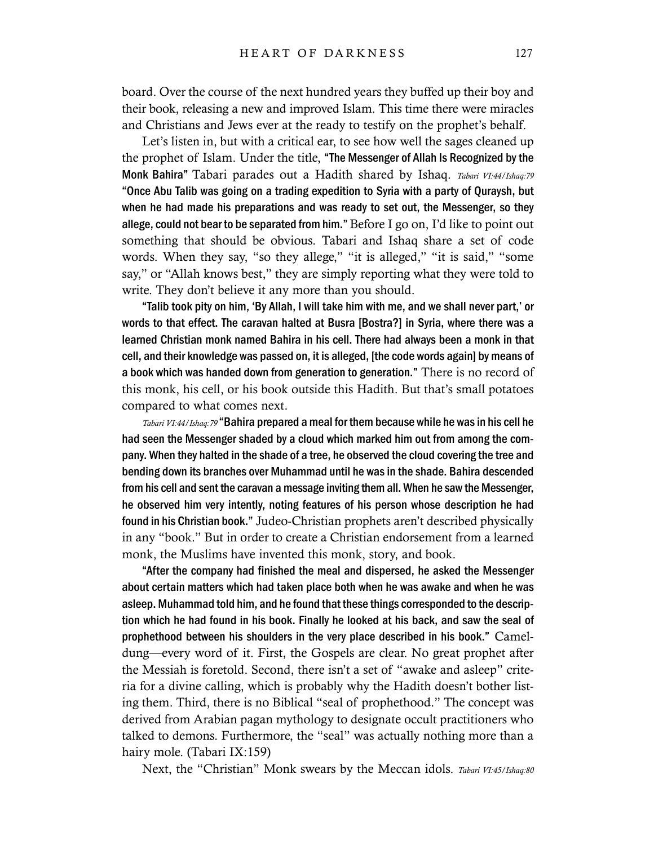board. Over the course of the next hundred years they buffed up their boy and their book, releasing a new and improved Islam. This time there were miracles and Christians and Jews ever at the ready to testify on the prophet's behalf.

Let's listen in, but with a critical ear, to see how well the sages cleaned up the prophet of Islam. Under the title, "The Messenger of Allah Is Recognized by the Monk Bahira" Tabari parades out a Hadith shared by Ishaq. *Tabari VI:44/Ishaq:79* "Once Abu Talib was going on a trading expedition to Syria with a party of Quraysh, but when he had made his preparations and was ready to set out, the Messenger, so they allege, could not bear to be separated from him." Before I go on, I'd like to point out something that should be obvious. Tabari and Ishaq share a set of code words. When they say, "so they allege," "it is alleged," "it is said," "some say," or "Allah knows best," they are simply reporting what they were told to write. They don't believe it any more than you should.

"Talib took pity on him, 'By Allah, I will take him with me, and we shall never part,' or words to that effect. The caravan halted at Busra [Bostra?] in Syria, where there was a learned Christian monk named Bahira in his cell. There had always been a monk in that cell, and their knowledge was passed on, it is alleged, [the code words again] by means of a book which was handed down from generation to generation." There is no record of this monk, his cell, or his book outside this Hadith. But that's small potatoes compared to what comes next.

*Tabari VI:44/Ishaq:79* "Bahira prepared a meal for them because while he was in his cell he had seen the Messenger shaded by a cloud which marked him out from among the company. When they halted in the shade of a tree, he observed the cloud covering the tree and bending down its branches over Muhammad until he was in the shade. Bahira descended from his cell and sent the caravan a message inviting them all. When he saw the Messenger, he observed him very intently, noting features of his person whose description he had found in his Christian book." Judeo-Christian prophets aren't described physically in any "book." But in order to create a Christian endorsement from a learned monk, the Muslims have invented this monk, story, and book.

"After the company had finished the meal and dispersed, he asked the Messenger about certain matters which had taken place both when he was awake and when he was asleep. Muhammad told him, and he found that these things corresponded to the description which he had found in his book. Finally he looked at his back, and saw the seal of prophethood between his shoulders in the very place described in his book." Cameldung—every word of it. First, the Gospels are clear. No great prophet after the Messiah is foretold. Second, there isn't a set of "awake and asleep" criteria for a divine calling, which is probably why the Hadith doesn't bother listing them. Third, there is no Biblical "seal of prophethood." The concept was derived from Arabian pagan mythology to designate occult practitioners who talked to demons. Furthermore, the "seal" was actually nothing more than a hairy mole. (Tabari IX:159)

Next, the "Christian" Monk swears by the Meccan idols. *Tabari VI:45/Ishaq:80*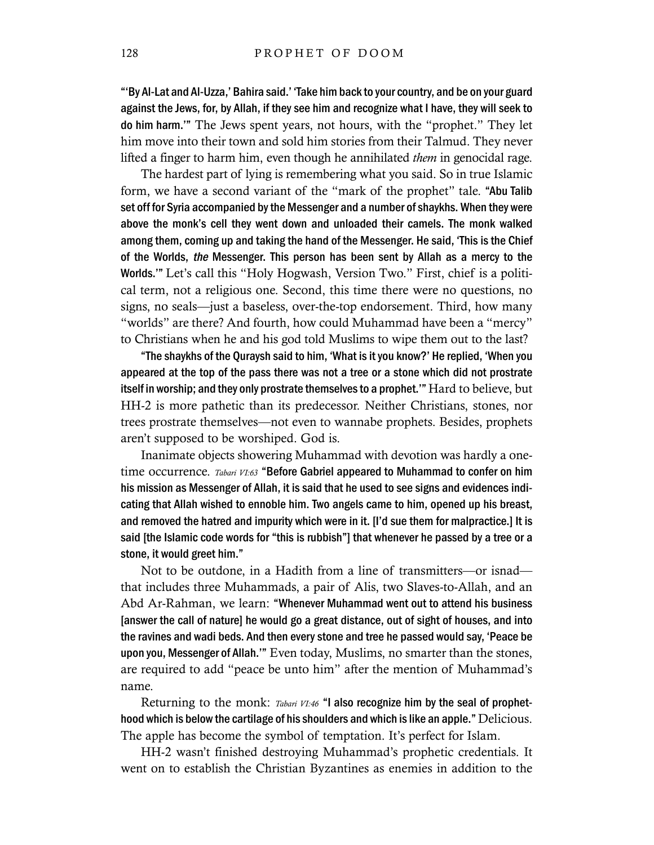"'By Al-Lat and Al-Uzza,' Bahira said.' 'Take him back to your country, and be on your guard against the Jews, for, by Allah, if they see him and recognize what I have, they will seek to do him harm.'" The Jews spent years, not hours, with the "prophet." They let him move into their town and sold him stories from their Talmud. They never lifted a finger to harm him, even though he annihilated *them* in genocidal rage.

The hardest part of lying is remembering what you said. So in true Islamic form, we have a second variant of the "mark of the prophet" tale. "Abu Talib set off for Syria accompanied by the Messenger and a number of shaykhs. When they were above the monk's cell they went down and unloaded their camels. The monk walked among them, coming up and taking the hand of the Messenger. He said, 'This is the Chief of the Worlds, the Messenger. This person has been sent by Allah as a mercy to the Worlds.'" Let's call this "Holy Hogwash, Version Two." First, chief is a political term, not a religious one. Second, this time there were no questions, no signs, no seals—just a baseless, over-the-top endorsement. Third, how many "worlds" are there? And fourth, how could Muhammad have been a "mercy" to Christians when he and his god told Muslims to wipe them out to the last?

"The shaykhs of the Quraysh said to him, 'What is it you know?' He replied, 'When you appeared at the top of the pass there was not a tree or a stone which did not prostrate itself in worship; and they only prostrate themselves to a prophet.'" Hard to believe, but HH-2 is more pathetic than its predecessor. Neither Christians, stones, nor trees prostrate themselves—not even to wannabe prophets. Besides, prophets aren't supposed to be worshiped. God is.

Inanimate objects showering Muhammad with devotion was hardly a onetime occurrence. *Tabari VI:63* "Before Gabriel appeared to Muhammad to confer on him his mission as Messenger of Allah, it is said that he used to see signs and evidences indicating that Allah wished to ennoble him. Two angels came to him, opened up his breast, and removed the hatred and impurity which were in it. [I'd sue them for malpractice.] It is said [the Islamic code words for "this is rubbish"] that whenever he passed by a tree or a stone, it would greet him."

Not to be outdone, in a Hadith from a line of transmitters—or isnad that includes three Muhammads, a pair of Alis, two Slaves-to-Allah, and an Abd Ar-Rahman, we learn: "Whenever Muhammad went out to attend his business [answer the call of nature] he would go a great distance, out of sight of houses, and into the ravines and wadi beds. And then every stone and tree he passed would say, 'Peace be upon you, Messenger of Allah.'" Even today, Muslims, no smarter than the stones, are required to add "peace be unto him" after the mention of Muhammad's name.

Returning to the monk: *Tabari VI:46* "I also recognize him by the seal of prophethood which is below the cartilage of his shoulders and which is like an apple." Delicious. The apple has become the symbol of temptation. It's perfect for Islam.

HH-2 wasn't finished destroying Muhammad's prophetic credentials. It went on to establish the Christian Byzantines as enemies in addition to the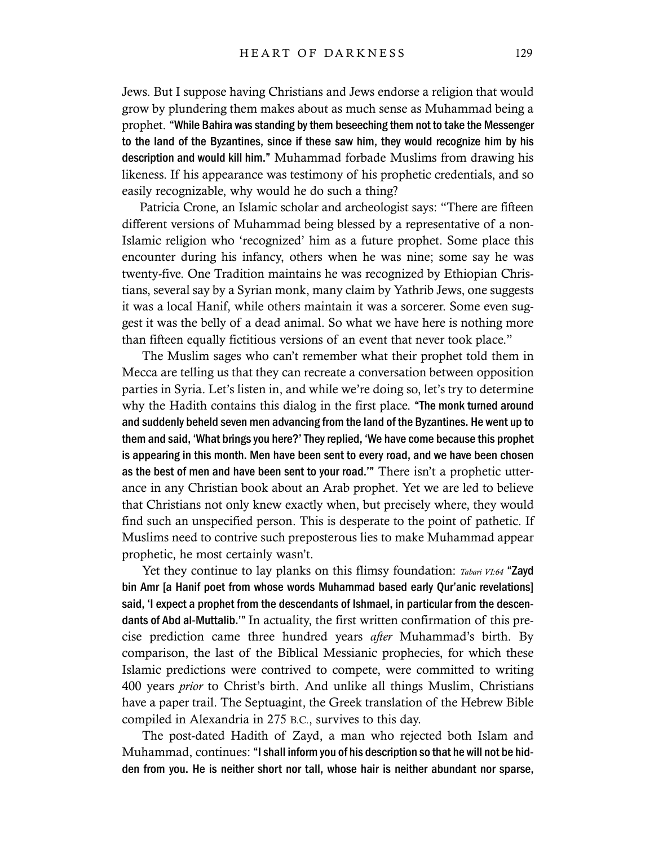Jews. But I suppose having Christians and Jews endorse a religion that would grow by plundering them makes about as much sense as Muhammad being a prophet. "While Bahira was standing by them beseeching them not to take the Messenger to the land of the Byzantines, since if these saw him, they would recognize him by his description and would kill him." Muhammad forbade Muslims from drawing his likeness. If his appearance was testimony of his prophetic credentials, and so easily recognizable, why would he do such a thing?

Patricia Crone, an Islamic scholar and archeologist says: "There are fifteen different versions of Muhammad being blessed by a representative of a non-Islamic religion who 'recognized' him as a future prophet. Some place this encounter during his infancy, others when he was nine; some say he was twenty-five. One Tradition maintains he was recognized by Ethiopian Christians, several say by a Syrian monk, many claim by Yathrib Jews, one suggests it was a local Hanif, while others maintain it was a sorcerer. Some even suggest it was the belly of a dead animal. So what we have here is nothing more than fifteen equally fictitious versions of an event that never took place."

The Muslim sages who can't remember what their prophet told them in Mecca are telling us that they can recreate a conversation between opposition parties in Syria. Let's listen in, and while we're doing so, let's try to determine why the Hadith contains this dialog in the first place. "The monk turned around and suddenly beheld seven men advancing from the land of the Byzantines. He went up to them and said, 'What brings you here?' They replied, 'We have come because this prophet is appearing in this month. Men have been sent to every road, and we have been chosen as the best of men and have been sent to your road.'" There isn't a prophetic utterance in any Christian book about an Arab prophet. Yet we are led to believe that Christians not only knew exactly when, but precisely where, they would find such an unspecified person. This is desperate to the point of pathetic. If Muslims need to contrive such preposterous lies to make Muhammad appear prophetic, he most certainly wasn't.

Yet they continue to lay planks on this flimsy foundation: *Tabari VI:64* "Zayd bin Amr [a Hanif poet from whose words Muhammad based early Qur'anic revelations] said, 'I expect a prophet from the descendants of Ishmael, in particular from the descendants of Abd al-Muttalib.'" In actuality, the first written confirmation of this precise prediction came three hundred years *after* Muhammad's birth. By comparison, the last of the Biblical Messianic prophecies, for which these Islamic predictions were contrived to compete, were committed to writing 400 years *prior* to Christ's birth. And unlike all things Muslim, Christians have a paper trail. The Septuagint, the Greek translation of the Hebrew Bible compiled in Alexandria in 275 B.C., survives to this day.

The post-dated Hadith of Zayd, a man who rejected both Islam and Muhammad, continues: "I shall inform you of his description so that he will not be hidden from you. He is neither short nor tall, whose hair is neither abundant nor sparse,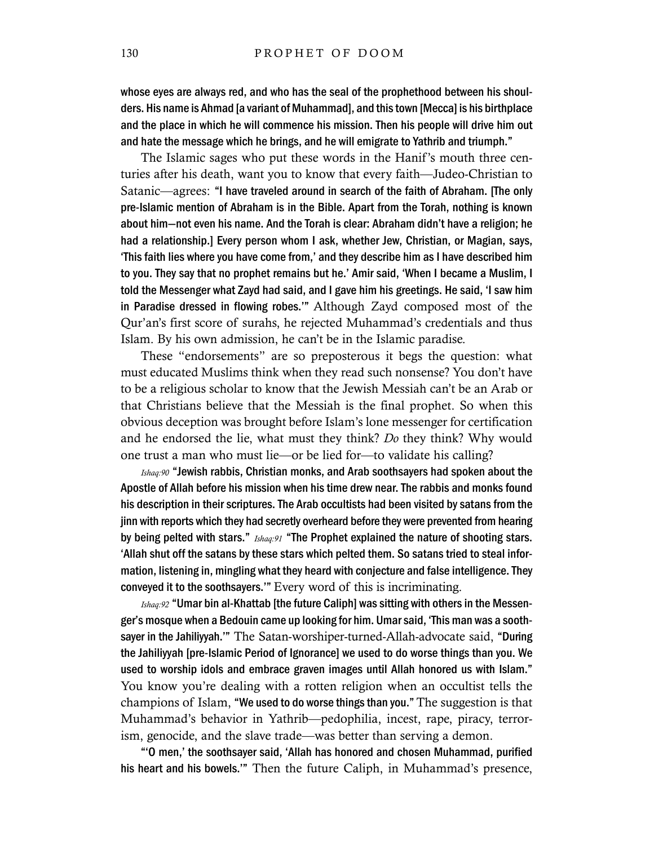whose eyes are always red, and who has the seal of the prophethood between his shoulders. His name is Ahmad [a variant of Muhammad], and this town [Mecca] is his birthplace and the place in which he will commence his mission. Then his people will drive him out and hate the message which he brings, and he will emigrate to Yathrib and triumph."

The Islamic sages who put these words in the Hanif's mouth three centuries after his death, want you to know that every faith—Judeo-Christian to Satanic—agrees: "I have traveled around in search of the faith of Abraham. [The only pre-Islamic mention of Abraham is in the Bible. Apart from the Torah, nothing is known about him—not even his name. And the Torah is clear: Abraham didn't have a religion; he had a relationship.] Every person whom I ask, whether Jew, Christian, or Magian, says, 'This faith lies where you have come from,' and they describe him as I have described him to you. They say that no prophet remains but he.' Amir said, 'When I became a Muslim, I told the Messenger what Zayd had said, and I gave him his greetings. He said, 'I saw him in Paradise dressed in flowing robes.'" Although Zayd composed most of the Qur'an's first score of surahs, he rejected Muhammad's credentials and thus Islam. By his own admission, he can't be in the Islamic paradise.

These "endorsements" are so preposterous it begs the question: what must educated Muslims think when they read such nonsense? You don't have to be a religious scholar to know that the Jewish Messiah can't be an Arab or that Christians believe that the Messiah is the final prophet. So when this obvious deception was brought before Islam's lone messenger for certification and he endorsed the lie, what must they think? *Do* they think? Why would one trust a man who must lie—or be lied for—to validate his calling?

*Ishaq:90* "Jewish rabbis, Christian monks, and Arab soothsayers had spoken about the Apostle of Allah before his mission when his time drew near. The rabbis and monks found his description in their scriptures. The Arab occultists had been visited by satans from the jinn with reports which they had secretly overheard before they were prevented from hearing by being pelted with stars." *Ishaq:91* "The Prophet explained the nature of shooting stars. 'Allah shut off the satans by these stars which pelted them. So satans tried to steal information, listening in, mingling what they heard with conjecture and false intelligence. They conveyed it to the soothsayers.'" Every word of this is incriminating.

*Ishaq:92* "Umar bin al-Khattab [the future Caliph] was sitting with others in the Messenger's mosque when a Bedouin came up looking for him. Umar said, 'This man was a soothsayer in the Jahiliyyah.'" The Satan-worshiper-turned-Allah-advocate said, "During the Jahiliyyah [pre-Islamic Period of Ignorance] we used to do worse things than you. We used to worship idols and embrace graven images until Allah honored us with Islam." You know you're dealing with a rotten religion when an occultist tells the champions of Islam, "We used to do worse things than you." The suggestion is that Muhammad's behavior in Yathrib—pedophilia, incest, rape, piracy, terrorism, genocide, and the slave trade—was better than serving a demon.

"'O men,' the soothsayer said, 'Allah has honored and chosen Muhammad, purified his heart and his bowels.'" Then the future Caliph, in Muhammad's presence,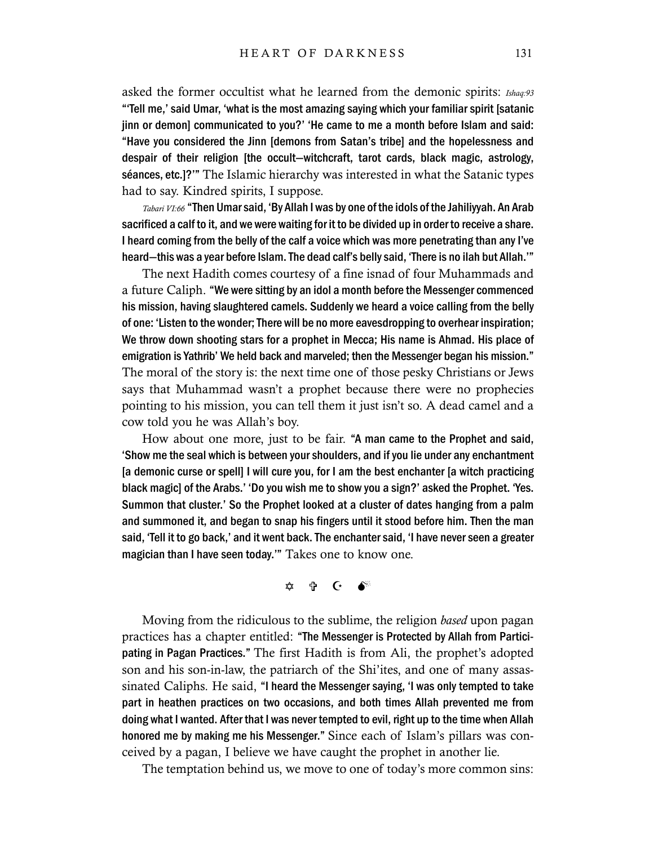asked the former occultist what he learned from the demonic spirits: *Ishaq:93* "'Tell me,' said Umar, 'what is the most amazing saying which your familiar spirit [satanic jinn or demon] communicated to you?' 'He came to me a month before Islam and said: "Have you considered the Jinn [demons from Satan's tribe] and the hopelessness and despair of their religion [the occult—witchcraft, tarot cards, black magic, astrology, séances, etc.]?'" The Islamic hierarchy was interested in what the Satanic types had to say. Kindred spirits, I suppose.

*Tabari VI:66* "Then Umar said, 'By Allah I was by one of the idols of the Jahiliyyah. An Arab sacrificed a calf to it, and we were waiting for it to be divided up in order to receive a share. I heard coming from the belly of the calf a voice which was more penetrating than any I've heard—this was a year before Islam. The dead calf's belly said, 'There is no ilah but Allah.'"

The next Hadith comes courtesy of a fine isnad of four Muhammads and a future Caliph. "We were sitting by an idol a month before the Messenger commenced his mission, having slaughtered camels. Suddenly we heard a voice calling from the belly of one: 'Listen to the wonder; There will be no more eavesdropping to overhear inspiration; We throw down shooting stars for a prophet in Mecca; His name is Ahmad. His place of emigration is Yathrib' We held back and marveled; then the Messenger began his mission." The moral of the story is: the next time one of those pesky Christians or Jews says that Muhammad wasn't a prophet because there were no prophecies pointing to his mission, you can tell them it just isn't so. A dead camel and a cow told you he was Allah's boy.

How about one more, just to be fair. "A man came to the Prophet and said, 'Show me the seal which is between your shoulders, and if you lie under any enchantment [a demonic curse or spell] I will cure you, for I am the best enchanter [a witch practicing black magic] of the Arabs.' 'Do you wish me to show you a sign?' asked the Prophet. 'Yes. Summon that cluster.' So the Prophet looked at a cluster of dates hanging from a palm and summoned it, and began to snap his fingers until it stood before him. Then the man said, 'Tell it to go back,' and it went back. The enchanter said, 'I have never seen a greater magician than I have seen today.'" Takes one to know one.

 $\hat{\bm{\alpha}}$   $\hat{\bm{\beta}}$   $\hat{\bm{\beta}}$   $\hat{\bm{\beta}}$   $\hat{\bm{\gamma}}$ 

Moving from the ridiculous to the sublime, the religion *based* upon pagan practices has a chapter entitled: "The Messenger is Protected by Allah from Participating in Pagan Practices." The first Hadith is from Ali, the prophet's adopted son and his son-in-law, the patriarch of the Shi'ites, and one of many assassinated Caliphs. He said, "I heard the Messenger saying, 'I was only tempted to take part in heathen practices on two occasions, and both times Allah prevented me from doing what I wanted. After that I was never tempted to evil, right up to the time when Allah honored me by making me his Messenger." Since each of Islam's pillars was conceived by a pagan, I believe we have caught the prophet in another lie.

The temptation behind us, we move to one of today's more common sins: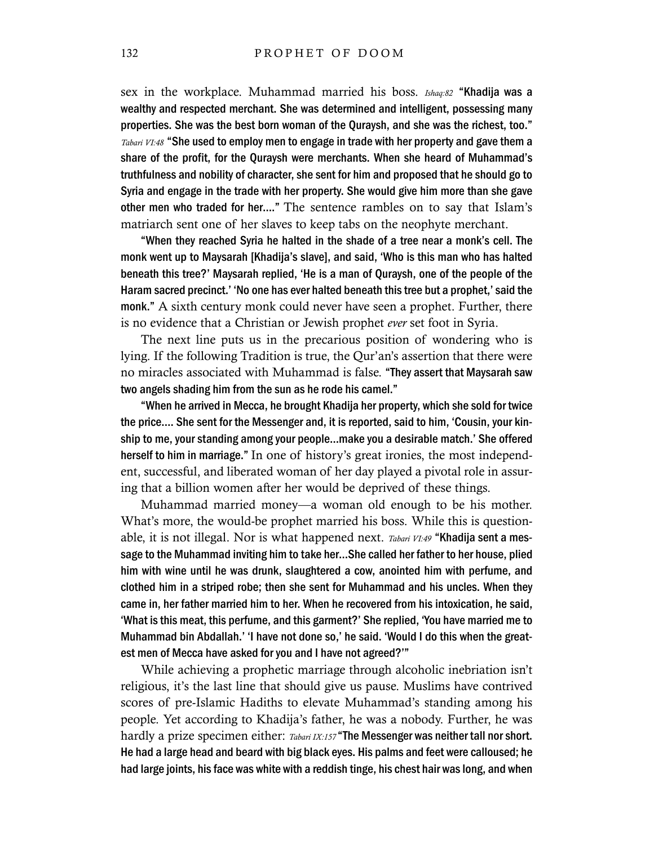sex in the workplace. Muhammad married his boss. *Ishaq:82* "Khadija was a wealthy and respected merchant. She was determined and intelligent, possessing many properties. She was the best born woman of the Quraysh, and she was the richest, too." *Tabari VI:48* "She used to employ men to engage in trade with her property and gave them a share of the profit, for the Quraysh were merchants. When she heard of Muhammad's truthfulness and nobility of character, she sent for him and proposed that he should go to Syria and engage in the trade with her property. She would give him more than she gave other men who traded for her…." The sentence rambles on to say that Islam's matriarch sent one of her slaves to keep tabs on the neophyte merchant.

"When they reached Syria he halted in the shade of a tree near a monk's cell. The monk went up to Maysarah [Khadija's slave], and said, 'Who is this man who has halted beneath this tree?' Maysarah replied, 'He is a man of Quraysh, one of the people of the Haram sacred precinct.' 'No one has ever halted beneath this tree but a prophet,' said the monk." A sixth century monk could never have seen a prophet. Further, there is no evidence that a Christian or Jewish prophet *ever* set foot in Syria.

The next line puts us in the precarious position of wondering who is lying. If the following Tradition is true, the Qur'an's assertion that there were no miracles associated with Muhammad is false. "They assert that Maysarah saw two angels shading him from the sun as he rode his camel."

"When he arrived in Mecca, he brought Khadija her property, which she sold for twice the price.… She sent for the Messenger and, it is reported, said to him, 'Cousin, your kinship to me, your standing among your people…make you a desirable match.' She offered herself to him in marriage." In one of history's great ironies, the most independent, successful, and liberated woman of her day played a pivotal role in assuring that a billion women after her would be deprived of these things.

Muhammad married money—a woman old enough to be his mother. What's more, the would-be prophet married his boss. While this is questionable, it is not illegal. Nor is what happened next. *Tabari VI:49* "Khadija sent a message to the Muhammad inviting him to take her…She called her father to her house, plied him with wine until he was drunk, slaughtered a cow, anointed him with perfume, and clothed him in a striped robe; then she sent for Muhammad and his uncles. When they came in, her father married him to her. When he recovered from his intoxication, he said, 'What is this meat, this perfume, and this garment?' She replied, 'You have married me to Muhammad bin Abdallah.' 'I have not done so,' he said. 'Would I do this when the greatest men of Mecca have asked for you and I have not agreed?'"

While achieving a prophetic marriage through alcoholic inebriation isn't religious, it's the last line that should give us pause. Muslims have contrived scores of pre-Islamic Hadiths to elevate Muhammad's standing among his people. Yet according to Khadija's father, he was a nobody. Further, he was hardly a prize specimen either: *Tabari IX:157* "The Messenger was neither tall nor short. He had a large head and beard with big black eyes. His palms and feet were calloused; he had large joints, his face was white with a reddish tinge, his chest hair was long, and when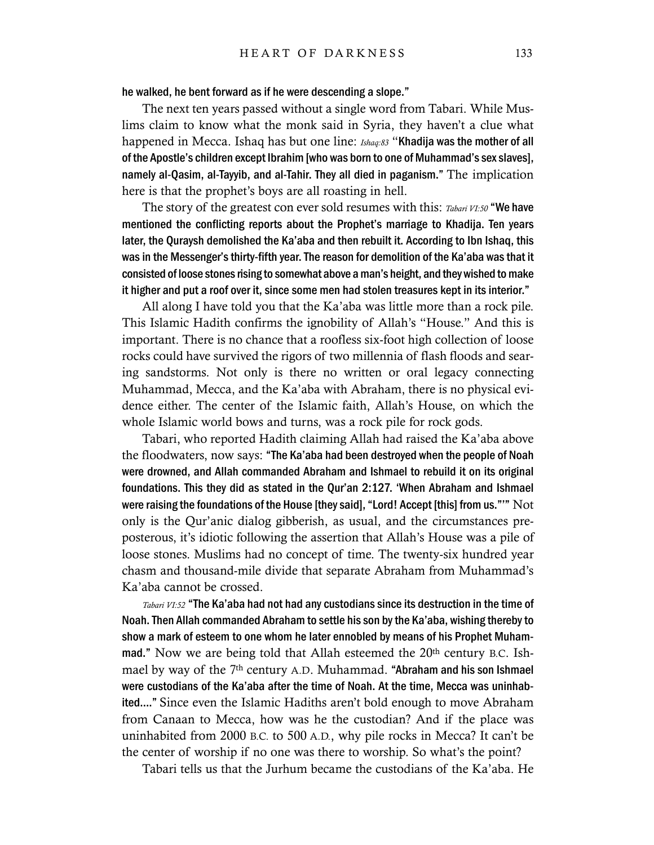he walked, he bent forward as if he were descending a slope."

The next ten years passed without a single word from Tabari. While Muslims claim to know what the monk said in Syria, they haven't a clue what happened in Mecca. Ishaq has but one line: *Ishaq:83* "Khadija was the mother of all of the Apostle's children except Ibrahim [who was born to one of Muhammad's sex slaves], namely al-Qasim, al-Tayyib, and al-Tahir. They all died in paganism." The implication here is that the prophet's boys are all roasting in hell.

The story of the greatest con ever sold resumes with this: *Tabari VI:50* "We have mentioned the conflicting reports about the Prophet's marriage to Khadija. Ten years later, the Quraysh demolished the Ka'aba and then rebuilt it. According to Ibn Ishaq, this was in the Messenger's thirty-fifth year. The reason for demolition of the Ka'aba was that it consisted of loose stones rising to somewhat above a man's height, and they wished to make it higher and put a roof over it, since some men had stolen treasures kept in its interior."

All along I have told you that the Ka'aba was little more than a rock pile. This Islamic Hadith confirms the ignobility of Allah's "House." And this is important. There is no chance that a roofless six-foot high collection of loose rocks could have survived the rigors of two millennia of flash floods and searing sandstorms. Not only is there no written or oral legacy connecting Muhammad, Mecca, and the Ka'aba with Abraham, there is no physical evidence either. The center of the Islamic faith, Allah's House, on which the whole Islamic world bows and turns, was a rock pile for rock gods.

Tabari, who reported Hadith claiming Allah had raised the Ka'aba above the floodwaters, now says: "The Ka'aba had been destroyed when the people of Noah were drowned, and Allah commanded Abraham and Ishmael to rebuild it on its original foundations. This they did as stated in the Qur'an 2:127. 'When Abraham and Ishmael were raising the foundations of the House [they said], "Lord! Accept [this] from us."'" Not only is the Qur'anic dialog gibberish, as usual, and the circumstances preposterous, it's idiotic following the assertion that Allah's House was a pile of loose stones. Muslims had no concept of time. The twenty-six hundred year chasm and thousand-mile divide that separate Abraham from Muhammad's Ka'aba cannot be crossed.

*Tabari VI:52* "The Ka'aba had not had any custodians since its destruction in the time of Noah. Then Allah commanded Abraham to settle his son by the Ka'aba, wishing thereby to show a mark of esteem to one whom he later ennobled by means of his Prophet Muhammad." Now we are being told that Allah esteemed the 20<sup>th</sup> century B.C. Ishmael by way of the 7th century A.D. Muhammad. "Abraham and his son Ishmael were custodians of the Ka'aba after the time of Noah. At the time, Mecca was uninhabited…." Since even the Islamic Hadiths aren't bold enough to move Abraham from Canaan to Mecca, how was he the custodian? And if the place was uninhabited from 2000 B.C. to 500 A.D., why pile rocks in Mecca? It can't be the center of worship if no one was there to worship. So what's the point?

Tabari tells us that the Jurhum became the custodians of the Ka'aba. He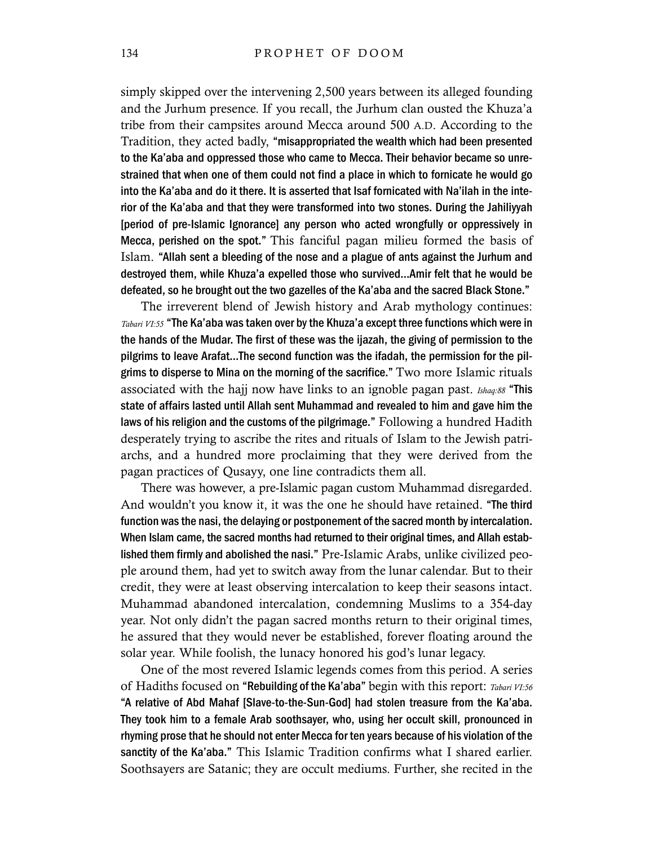simply skipped over the intervening 2,500 years between its alleged founding and the Jurhum presence. If you recall, the Jurhum clan ousted the Khuza'a tribe from their campsites around Mecca around 500 A.D. According to the Tradition, they acted badly, "misappropriated the wealth which had been presented to the Ka'aba and oppressed those who came to Mecca. Their behavior became so unrestrained that when one of them could not find a place in which to fornicate he would go into the Ka'aba and do it there. It is asserted that Isaf fornicated with Na'ilah in the interior of the Ka'aba and that they were transformed into two stones. During the Jahiliyyah [period of pre-Islamic Ignorance] any person who acted wrongfully or oppressively in Mecca, perished on the spot." This fanciful pagan milieu formed the basis of Islam. "Allah sent a bleeding of the nose and a plague of ants against the Jurhum and destroyed them, while Khuza'a expelled those who survived…Amir felt that he would be defeated, so he brought out the two gazelles of the Ka'aba and the sacred Black Stone."

The irreverent blend of Jewish history and Arab mythology continues: *Tabari VI:55* "The Ka'aba was taken over by the Khuza'a except three functions which were in the hands of the Mudar. The first of these was the ijazah, the giving of permission to the pilgrims to leave Arafat…The second function was the ifadah, the permission for the pilgrims to disperse to Mina on the morning of the sacrifice." Two more Islamic rituals associated with the hajj now have links to an ignoble pagan past. *Ishaq:88* "This state of affairs lasted until Allah sent Muhammad and revealed to him and gave him the laws of his religion and the customs of the pilgrimage." Following a hundred Hadith desperately trying to ascribe the rites and rituals of Islam to the Jewish patriarchs, and a hundred more proclaiming that they were derived from the pagan practices of Qusayy, one line contradicts them all.

There was however, a pre-Islamic pagan custom Muhammad disregarded. And wouldn't you know it, it was the one he should have retained. "The third function was the nasi, the delaying or postponement of the sacred month by intercalation. When Islam came, the sacred months had returned to their original times, and Allah established them firmly and abolished the nasi." Pre-Islamic Arabs, unlike civilized people around them, had yet to switch away from the lunar calendar. But to their credit, they were at least observing intercalation to keep their seasons intact. Muhammad abandoned intercalation, condemning Muslims to a 354-day year. Not only didn't the pagan sacred months return to their original times, he assured that they would never be established, forever floating around the solar year. While foolish, the lunacy honored his god's lunar legacy.

One of the most revered Islamic legends comes from this period. A series of Hadiths focused on "Rebuilding of the Ka'aba" begin with this report: *Tabari VI:56* "A relative of Abd Mahaf [Slave-to-the-Sun-God] had stolen treasure from the Ka'aba. They took him to a female Arab soothsayer, who, using her occult skill, pronounced in rhyming prose that he should not enter Mecca for ten years because of his violation of the sanctity of the Ka'aba." This Islamic Tradition confirms what I shared earlier. Soothsayers are Satanic; they are occult mediums. Further, she recited in the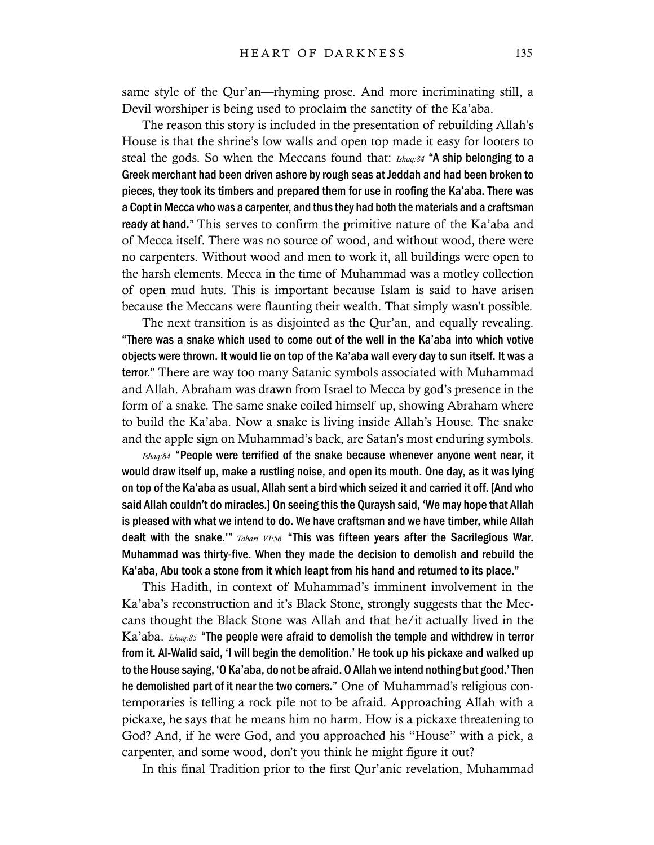same style of the Qur'an—rhyming prose. And more incriminating still, a Devil worshiper is being used to proclaim the sanctity of the Ka'aba.

The reason this story is included in the presentation of rebuilding Allah's House is that the shrine's low walls and open top made it easy for looters to steal the gods. So when the Meccans found that: *Ishaq:84* "A ship belonging to a Greek merchant had been driven ashore by rough seas at Jeddah and had been broken to pieces, they took its timbers and prepared them for use in roofing the Ka'aba. There was a Copt in Mecca who was a carpenter, and thus they had both the materials and a craftsman ready at hand." This serves to confirm the primitive nature of the Ka'aba and of Mecca itself. There was no source of wood, and without wood, there were no carpenters. Without wood and men to work it, all buildings were open to the harsh elements. Mecca in the time of Muhammad was a motley collection of open mud huts. This is important because Islam is said to have arisen because the Meccans were flaunting their wealth. That simply wasn't possible.

The next transition is as disjointed as the Qur'an, and equally revealing. "There was a snake which used to come out of the well in the Ka'aba into which votive objects were thrown. It would lie on top of the Ka'aba wall every day to sun itself. It was a terror." There are way too many Satanic symbols associated with Muhammad and Allah. Abraham was drawn from Israel to Mecca by god's presence in the form of a snake. The same snake coiled himself up, showing Abraham where to build the Ka'aba. Now a snake is living inside Allah's House. The snake and the apple sign on Muhammad's back, are Satan's most enduring symbols.

*Ishaq:84* "People were terrified of the snake because whenever anyone went near, it would draw itself up, make a rustling noise, and open its mouth. One day, as it was lying on top of the Ka'aba as usual, Allah sent a bird which seized it and carried it off. [And who said Allah couldn't do miracles.] On seeing this the Quraysh said, 'We may hope that Allah is pleased with what we intend to do. We have craftsman and we have timber, while Allah dealt with the snake.'" *Tabari VI:56* "This was fifteen years after the Sacrilegious War. Muhammad was thirty-five. When they made the decision to demolish and rebuild the Ka'aba, Abu took a stone from it which leapt from his hand and returned to its place."

This Hadith, in context of Muhammad's imminent involvement in the Ka'aba's reconstruction and it's Black Stone, strongly suggests that the Meccans thought the Black Stone was Allah and that he/it actually lived in the Ka'aba. *Ishaq:85* "The people were afraid to demolish the temple and withdrew in terror from it. Al-Walid said, 'I will begin the demolition.' He took up his pickaxe and walked up to the House saying, 'O Ka'aba, do not be afraid. O Allah we intend nothing but good.' Then he demolished part of it near the two corners." One of Muhammad's religious contemporaries is telling a rock pile not to be afraid. Approaching Allah with a pickaxe, he says that he means him no harm. How is a pickaxe threatening to God? And, if he were God, and you approached his "House" with a pick, a carpenter, and some wood, don't you think he might figure it out?

In this final Tradition prior to the first Qur'anic revelation, Muhammad